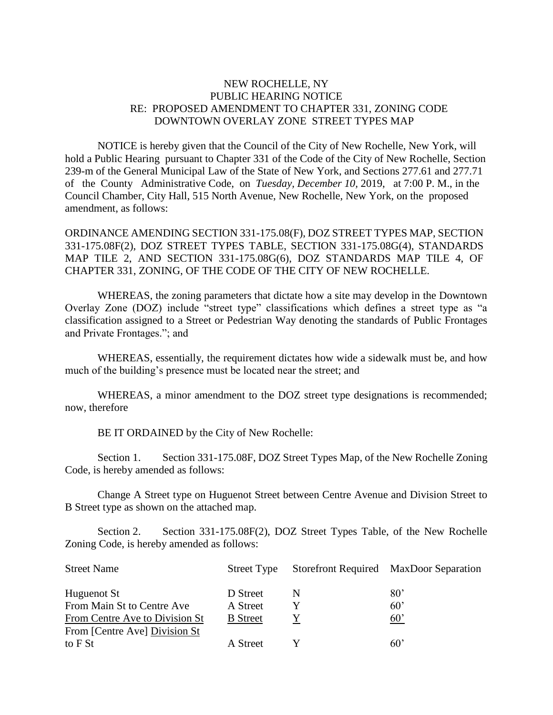## NEW ROCHELLE, NY PUBLIC HEARING NOTICE RE: PROPOSED AMENDMENT TO CHAPTER 331, ZONING CODE DOWNTOWN OVERLAY ZONE STREET TYPES MAP

NOTICE is hereby given that the Council of the City of New Rochelle, New York, will hold a Public Hearing pursuant to Chapter 331 of the Code of the City of New Rochelle, Section 239-m of the General Municipal Law of the State of New York, and Sections 277.61 and 277.71 of the County Administrative Code, on *Tuesday, December 10,* 2019, at 7:00 P. M., in the Council Chamber, City Hall, 515 North Avenue, New Rochelle, New York, on the proposed amendment, as follows:

ORDINANCE AMENDING SECTION 331-175.08(F), DOZ STREET TYPES MAP, SECTION 331-175.08F(2), DOZ STREET TYPES TABLE, SECTION 331-175.08G(4), STANDARDS MAP TILE 2, AND SECTION 331-175.08G(6), DOZ STANDARDS MAP TILE 4, OF CHAPTER 331, ZONING, OF THE CODE OF THE CITY OF NEW ROCHELLE.

WHEREAS, the zoning parameters that dictate how a site may develop in the Downtown Overlay Zone (DOZ) include "street type" classifications which defines a street type as "a classification assigned to a Street or Pedestrian Way denoting the standards of Public Frontages and Private Frontages."; and

WHEREAS, essentially, the requirement dictates how wide a sidewalk must be, and how much of the building's presence must be located near the street; and

WHEREAS, a minor amendment to the DOZ street type designations is recommended; now, therefore

BE IT ORDAINED by the City of New Rochelle:

Section 1. Section 331-175.08F, DOZ Street Types Map, of the New Rochelle Zoning Code, is hereby amended as follows:

Change A Street type on Huguenot Street between Centre Avenue and Division Street to B Street type as shown on the attached map.

Section 2. Section 331-175.08F(2), DOZ Street Types Table, of the New Rochelle Zoning Code, is hereby amended as follows:

| <b>Street Name</b>             | Street Type     |   | Storefront Required MaxDoor Separation |
|--------------------------------|-----------------|---|----------------------------------------|
| Huguenot St                    | D Street        | N | $80^{\circ}$                           |
| From Main St to Centre Ave     | A Street        |   | $60^{\circ}$                           |
| From Centre Ave to Division St | <b>B</b> Street |   | $60^{\circ}$                           |
| From [Centre Ave] Division St  |                 |   |                                        |
| to F St                        | A Street        |   | $60^{\circ}$                           |